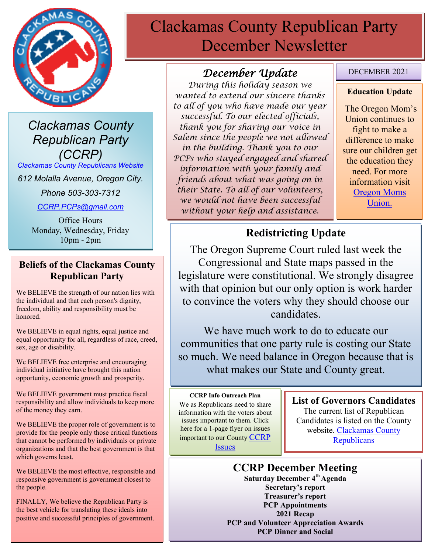

*Clackamas County Republican Party (CCRP)*

*[Clackamas County Republicans Website](https://www.clackamascountyrepublicans.org/)*

*612 Molalla Avenue, Oregon City.* 

*Phone 503-303-7312*

*[CCRP.PCPs@gmail.com](mailto:CCRP.PCPs@gmail.com)*

Office Hours Monday, Wednesday, Friday 10pm - 2pm

### **Beliefs of the Clackamas County Republican Party**

We BELIEVE the strength of our nation lies with the individual and that each person's dignity, freedom, ability and responsibility must be honored.

We BELIEVE in equal rights, equal justice and equal opportunity for all, regardless of race, creed, sex, age or disability.

We BELIEVE free enterprise and encouraging individual initiative have brought this nation opportunity, economic growth and prosperity.

We BELIEVE government must practice fiscal responsibility and allow individuals to keep more of the money they earn.

We BELIEVE the proper role of government is to provide for the people only those critical functions that cannot be performed by individuals or private organizations and that the best government is that which governs least.

We BELIEVE the most effective, responsible and responsive government is government closest to the people.

FINALLY, We believe the Republican Party is the best vehicle for translating these ideals into positive and successful principles of government.

# Clackamas County Republican Party December Newsletter

# *December Update*

*During this holiday season we wanted to extend our sincere thanks to all of you who have made our year successful. To our elected officials, thank you for sharing our voice in Salem since the people we not allowed in the building. Thank you to our PCPs who stayed engaged and shared information with your family and friends about what was going on in their State. To all of our volunteers, we would not have been successful without your help and assistance.*

### DECEMBER 2021

#### **Education Update**

The Oregon Mom's Union continues to fight to make a difference to make sure our children get the education they need. For more information visit Oregon Moms Union.

# **Redistricting Update**

The Oregon Supreme Court ruled last week the Congressional and State maps passed in the legislature were constitutional. We strongly disagree with that opinion but our only option is work harder to convince the voters why they should choose our candidates.

We have much work to do to educate our communities that one party rule is costing our State so much. We need balance in Oregon because that is what makes our State and County great.

#### **CCRP Info Outreach Plan**

We as Republicans need to share information with the voters about issues important to them. Click here for a 1-page flyer on issues important to our County [CCRP](https://www.clackamascountyrepublicans.org/wp-content/uploads/2021/09/CCRP-Outreach.pdf)  [Issues](https://www.clackamascountyrepublicans.org/wp-content/uploads/2021/09/CCRP-Outreach.pdf)

### **List of Governors Candidates**

The current list of Republican Candidates is listed on the County website. [Clackamas County](https://www.clackamascountyrepublicans.org/)  **[Republicans](https://www.clackamascountyrepublicans.org/)** 

# **CCRP December Meeting**

**Saturday December 4th Agenda Secretary's report Treasurer's report PCP Appointments 2021 Recap PCP and Volunteer Appreciation Awards PCP Dinner and Social**